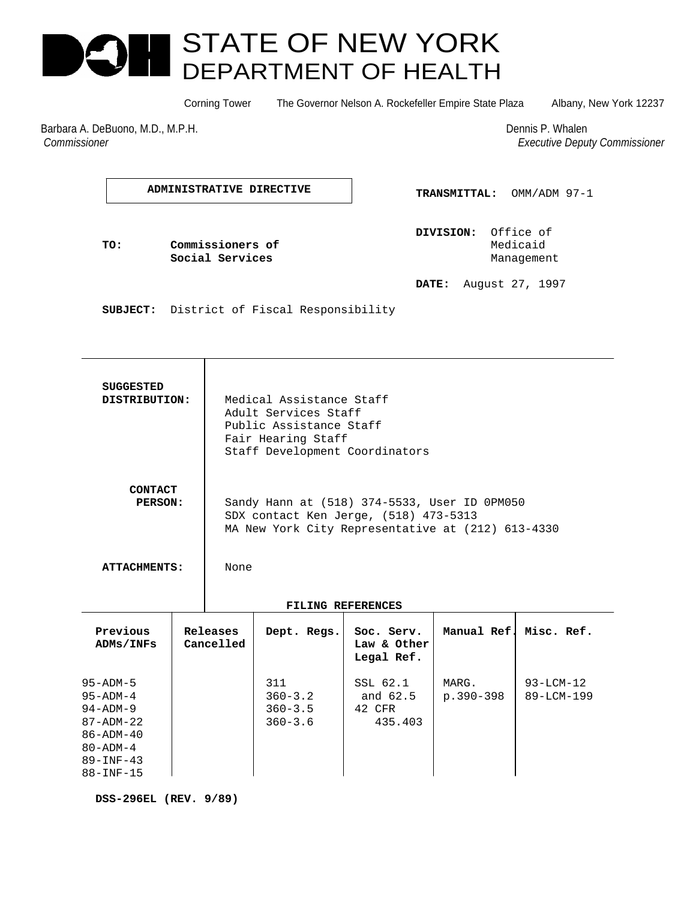# STATE OF NEW YORK DEPARTMENT OF HEALTH

Corning Tower The Governor Nelson A. Rockefeller Empire State Plaza Albany, New York 12237

Barbara A. DeBuono, M.D., M.P.H. Dennis P. Whalen *Commissioner Executive Deputy Commissioner*

**ADMINISTRATIVE DIRECTIVE**

 **TRANSMITTAL:** OMM/ADM 97-1

 **DIVISION:** Office of **TO: Commissioners of Commissioners of Commissioners of Commissioners of Commissioners Commissioners Social Services Management Management** 

 **DATE:** August 27, 1997

 **SUBJECT:** District of Fiscal Responsibility

Τ

| <b>SUGGESTED</b><br>DISTRIBUTION:                                                                                                          |                       | Medical Assistance Staff<br>Adult Services Staff<br>Public Assistance Staff<br>Fair Hearing Staff<br>Staff Development Coordinators                |                                                  |                                           |                    |                               |
|--------------------------------------------------------------------------------------------------------------------------------------------|-----------------------|----------------------------------------------------------------------------------------------------------------------------------------------------|--------------------------------------------------|-------------------------------------------|--------------------|-------------------------------|
| <b>CONTACT</b><br>PERSON:<br><b>ATTACHMENTS:</b>                                                                                           |                       | Sandy Hann at (518) 374-5533, User ID 0PM050<br>SDX contact Ken Jerge, (518) 473-5313<br>MA New York City Representative at (212) 613-4330<br>None |                                                  |                                           |                    |                               |
|                                                                                                                                            |                       |                                                                                                                                                    |                                                  |                                           |                    |                               |
|                                                                                                                                            |                       | FILING REFERENCES                                                                                                                                  |                                                  |                                           |                    |                               |
| Previous<br>ADMs/INFs                                                                                                                      | Releases<br>Cancelled |                                                                                                                                                    | Dept. Regs.                                      | Soc. Serv.<br>Law & Other<br>Legal Ref.   |                    | Manual Ref. Misc. Ref.        |
| $95 - ADM - 5$<br>$95 - ADM - 4$<br>$94 - ADM - 9$<br>$87 - ADM - 22$<br>$86 - ADM - 40$<br>$80 - ADM - 4$<br>$89 - INF - 43$<br>88-INF-15 |                       |                                                                                                                                                    | 311<br>$360 - 3.2$<br>$360 - 3.5$<br>$360 - 3.6$ | SSL 62.1<br>and 62.5<br>42 CFR<br>435.403 | MARG.<br>p.390-398 | $93 - LCM - 12$<br>89-LCM-199 |

 **DSS-296EL (REV. 9/89)**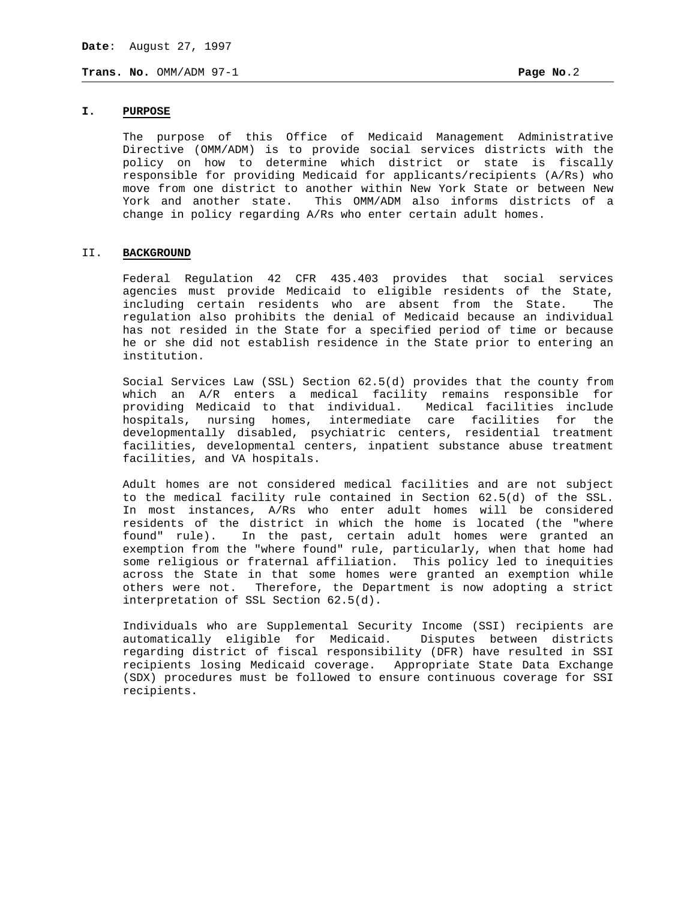# **I. PURPOSE**

The purpose of this Office of Medicaid Management Administrative Directive (OMM/ADM) is to provide social services districts with the policy on how to determine which district or state is fiscally responsible for providing Medicaid for applicants/recipients (A/Rs) who move from one district to another within New York State or between New York and another state. This OMM/ADM also informs districts of a change in policy regarding A/Rs who enter certain adult homes.

#### II. **BACKGROUND**

Federal Regulation 42 CFR 435.403 provides that social services agencies must provide Medicaid to eligible residents of the State, including certain residents who are absent from the State. The regulation also prohibits the denial of Medicaid because an individual has not resided in the State for a specified period of time or because he or she did not establish residence in the State prior to entering an institution.

Social Services Law (SSL) Section 62.5(d) provides that the county from which an A/R enters a medical facility remains responsible for providing Medicaid to that individual. Medical facilities include hospitals, nursing homes, intermediate care facilities for the developmentally disabled, psychiatric centers, residential treatment facilities, developmental centers, inpatient substance abuse treatment facilities, and VA hospitals.

Adult homes are not considered medical facilities and are not subject to the medical facility rule contained in Section 62.5(d) of the SSL. In most instances, A/Rs who enter adult homes will be considered residents of the district in which the home is located (the "where found" rule). In the past, certain adult homes were granted an exemption from the "where found" rule, particularly, when that home had some religious or fraternal affiliation. This policy led to inequities across the State in that some homes were granted an exemption while others were not. Therefore, the Department is now adopting a strict interpretation of SSL Section 62.5(d).

Individuals who are Supplemental Security Income (SSI) recipients are automatically eligible for Medicaid. Disputes between districts regarding district of fiscal responsibility (DFR) have resulted in SSI recipients losing Medicaid coverage. Appropriate State Data Exchange (SDX) procedures must be followed to ensure continuous coverage for SSI recipients.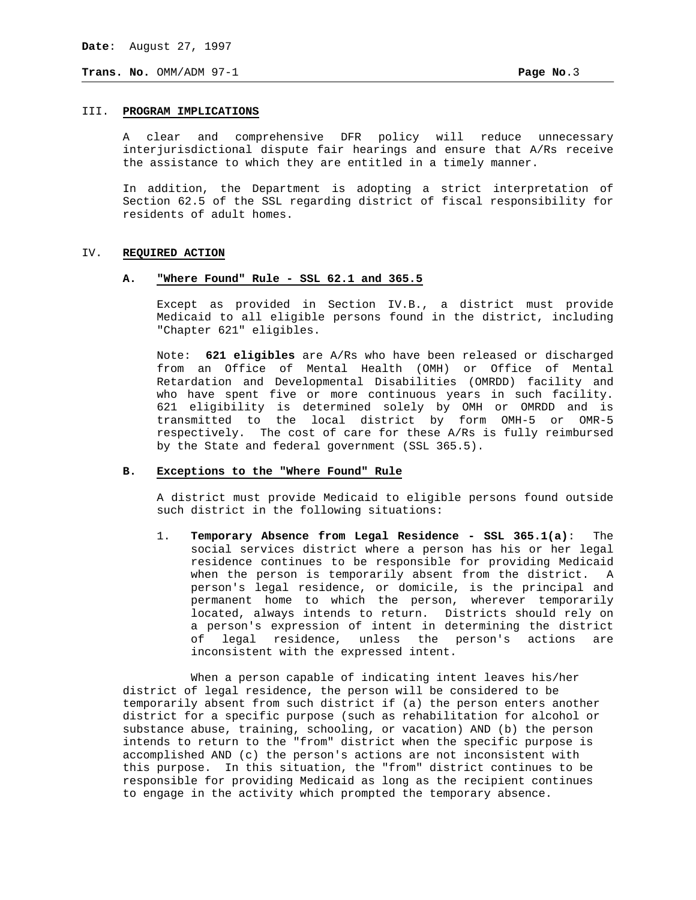## III. **PROGRAM IMPLICATIONS**

A clear and comprehensive DFR policy will reduce unnecessary interjurisdictional dispute fair hearings and ensure that A/Rs receive the assistance to which they are entitled in a timely manner.

In addition, the Department is adopting a strict interpretation of Section 62.5 of the SSL regarding district of fiscal responsibility for residents of adult homes.

#### IV. **REQUIRED ACTION**

#### **A. "Where Found" Rule - SSL 62.1 and 365.5**

Except as provided in Section IV.B., a district must provide Medicaid to all eligible persons found in the district, including "Chapter 621" eligibles.

 Note: **621 eligibles** are A/Rs who have been released or discharged from an Office of Mental Health (OMH) or Office of Mental Retardation and Developmental Disabilities (OMRDD) facility and who have spent five or more continuous years in such facility. 621 eligibility is determined solely by OMH or OMRDD and is transmitted to the local district by form OMH-5 or OMR-5 respectively. The cost of care for these A/Rs is fully reimbursed by the State and federal government (SSL 365.5).

#### **B. Exceptions to the "Where Found" Rule**

A district must provide Medicaid to eligible persons found outside such district in the following situations:

 1. **Temporary Absence from Legal Residence - SSL 365.1(a)**: The social services district where a person has his or her legal residence continues to be responsible for providing Medicaid when the person is temporarily absent from the district. A person's legal residence, or domicile, is the principal and permanent home to which the person, wherever temporarily located, always intends to return. Districts should rely on a person's expression of intent in determining the district of legal residence, unless the person's actions are inconsistent with the expressed intent.

When a person capable of indicating intent leaves his/her district of legal residence, the person will be considered to be temporarily absent from such district if (a) the person enters another district for a specific purpose (such as rehabilitation for alcohol or substance abuse, training, schooling, or vacation) AND (b) the person intends to return to the "from" district when the specific purpose is accomplished AND (c) the person's actions are not inconsistent with this purpose. In this situation, the "from" district continues to be responsible for providing Medicaid as long as the recipient continues to engage in the activity which prompted the temporary absence.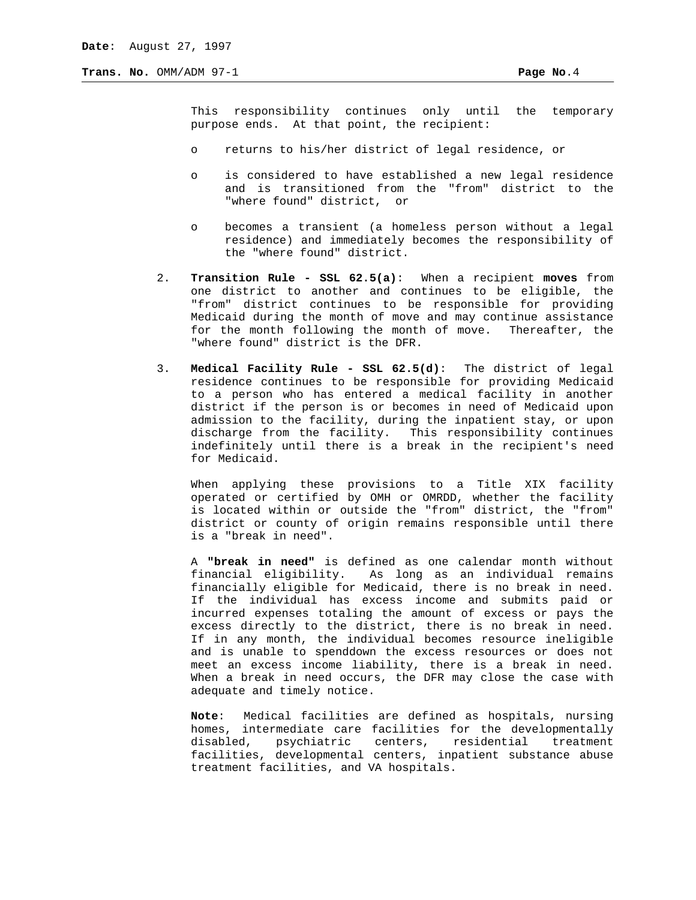This responsibility continues only until the temporary purpose ends. At that point, the recipient:

- o returns to his/her district of legal residence, or
- o is considered to have established a new legal residence and is transitioned from the "from" district to the "where found" district, or
- o becomes a transient (a homeless person without a legal residence) and immediately becomes the responsibility of the "where found" district.
- 2. **Transition Rule SSL 62.5(a)**: When a recipient **moves** from one district to another and continues to be eligible, the "from" district continues to be responsible for providing Medicaid during the month of move and may continue assistance for the month following the month of move. Thereafter, the "where found" district is the DFR.
- 3. **Medical Facility Rule SSL 62.5(d)**: The district of legal residence continues to be responsible for providing Medicaid to a person who has entered a medical facility in another district if the person is or becomes in need of Medicaid upon admission to the facility, during the inpatient stay, or upon discharge from the facility. This responsibility continues indefinitely until there is a break in the recipient's need for Medicaid.

When applying these provisions to a Title XIX facility operated or certified by OMH or OMRDD, whether the facility is located within or outside the "from" district, the "from" district or county of origin remains responsible until there is a "break in need".

 A **"break in need"** is defined as one calendar month without financial eligibility. As long as an individual remains financially eligible for Medicaid, there is no break in need. If the individual has excess income and submits paid or incurred expenses totaling the amount of excess or pays the excess directly to the district, there is no break in need. If in any month, the individual becomes resource ineligible and is unable to spenddown the excess resources or does not meet an excess income liability, there is a break in need. When a break in need occurs, the DFR may close the case with adequate and timely notice.

 **Note**: Medical facilities are defined as hospitals, nursing homes, intermediate care facilities for the developmentally disabled, psychiatric centers, residential treatment facilities, developmental centers, inpatient substance abuse treatment facilities, and VA hospitals.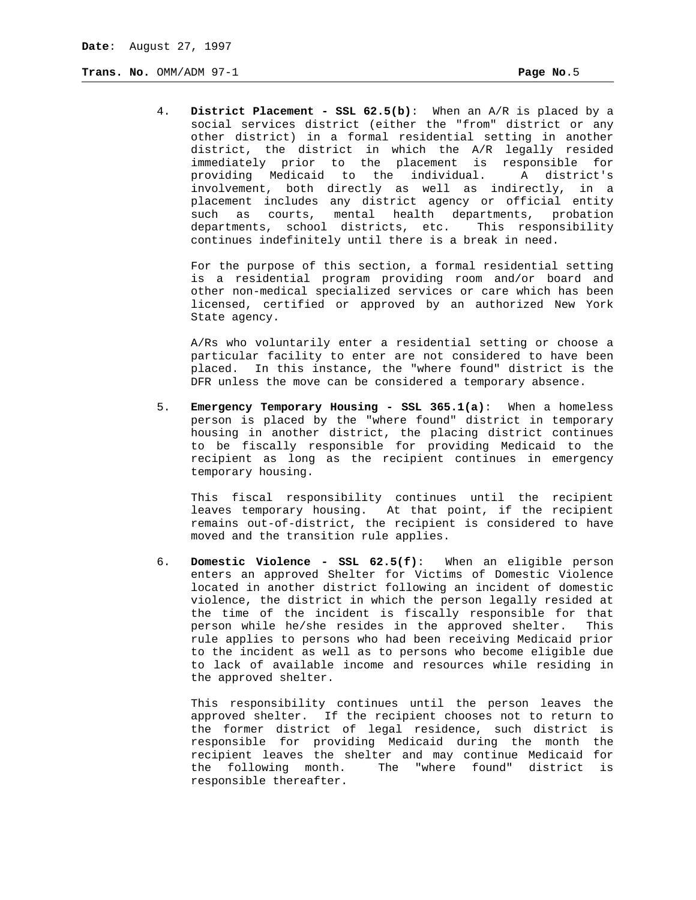4. **District Placement - SSL 62.5(b)**: When an A/R is placed by a social services district (either the "from" district or any other district) in a formal residential setting in another district, the district in which the A/R legally resided immediately prior to the placement is responsible for providing Medicaid to the individual. A district's involvement, both directly as well as indirectly, in a placement includes any district agency or official entity such as courts, mental health departments, probation departments, school districts, etc. This responsibility continues indefinitely until there is a break in need.

For the purpose of this section, a formal residential setting is a residential program providing room and/or board and other non-medical specialized services or care which has been licensed, certified or approved by an authorized New York State agency.

A/Rs who voluntarily enter a residential setting or choose a particular facility to enter are not considered to have been placed. In this instance, the "where found" district is the DFR unless the move can be considered a temporary absence.

 5. **Emergency Temporary Housing - SSL 365.1(a)**: When a homeless person is placed by the "where found" district in temporary housing in another district, the placing district continues to be fiscally responsible for providing Medicaid to the recipient as long as the recipient continues in emergency temporary housing.

This fiscal responsibility continues until the recipient leaves temporary housing. At that point, if the recipient remains out-of-district, the recipient is considered to have moved and the transition rule applies.

 6. **Domestic Violence - SSL 62.5(f)**: When an eligible person enters an approved Shelter for Victims of Domestic Violence located in another district following an incident of domestic violence, the district in which the person legally resided at the time of the incident is fiscally responsible for that person while he/she resides in the approved shelter. This rule applies to persons who had been receiving Medicaid prior to the incident as well as to persons who become eligible due to lack of available income and resources while residing in the approved shelter.

This responsibility continues until the person leaves the approved shelter. If the recipient chooses not to return to the former district of legal residence, such district is responsible for providing Medicaid during the month the recipient leaves the shelter and may continue Medicaid for the following month. The "where found" district is responsible thereafter.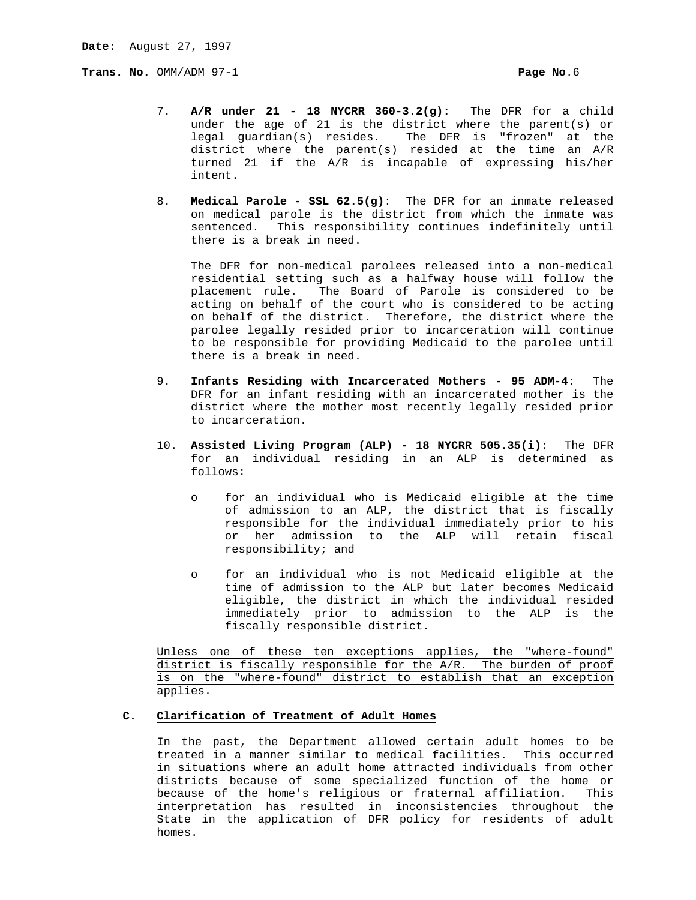- 7. **A/R under 21 18 NYCRR 360-3.2(g):** The DFR for a child under the age of 21 is the district where the parent(s) or legal guardian(s) resides. The DFR is "frozen" at the district where the parent(s) resided at the time an A/R turned 21 if the A/R is incapable of expressing his/her intent.
- 8. **Medical Parole SSL 62.5(g)**: The DFR for an inmate released on medical parole is the district from which the inmate was sentenced. This responsibility continues indefinitely until there is a break in need.

The DFR for non-medical parolees released into a non-medical residential setting such as a halfway house will follow the placement rule. The Board of Parole is considered to be acting on behalf of the court who is considered to be acting on behalf of the district. Therefore, the district where the parolee legally resided prior to incarceration will continue to be responsible for providing Medicaid to the parolee until there is a break in need.

- 9. **Infants Residing with Incarcerated Mothers 95 ADM-4**: The DFR for an infant residing with an incarcerated mother is the district where the mother most recently legally resided prior to incarceration.
- 10. **Assisted Living Program (ALP) 18 NYCRR 505.35(i)**: The DFR for an individual residing in an ALP is determined as follows:
	- o for an individual who is Medicaid eligible at the time of admission to an ALP, the district that is fiscally responsible for the individual immediately prior to his or her admission to the ALP will retain fiscal responsibility; and
	- o for an individual who is not Medicaid eligible at the time of admission to the ALP but later becomes Medicaid eligible, the district in which the individual resided immediately prior to admission to the ALP is the fiscally responsible district.

 Unless one of these ten exceptions applies, the "where-found" district is fiscally responsible for the A/R. The burden of proof is on the "where-found" district to establish that an exception applies.

## **C. Clarification of Treatment of Adult Homes**

In the past, the Department allowed certain adult homes to be treated in a manner similar to medical facilities. This occurred in situations where an adult home attracted individuals from other districts because of some specialized function of the home or because of the home's religious or fraternal affiliation. This interpretation has resulted in inconsistencies throughout the State in the application of DFR policy for residents of adult homes.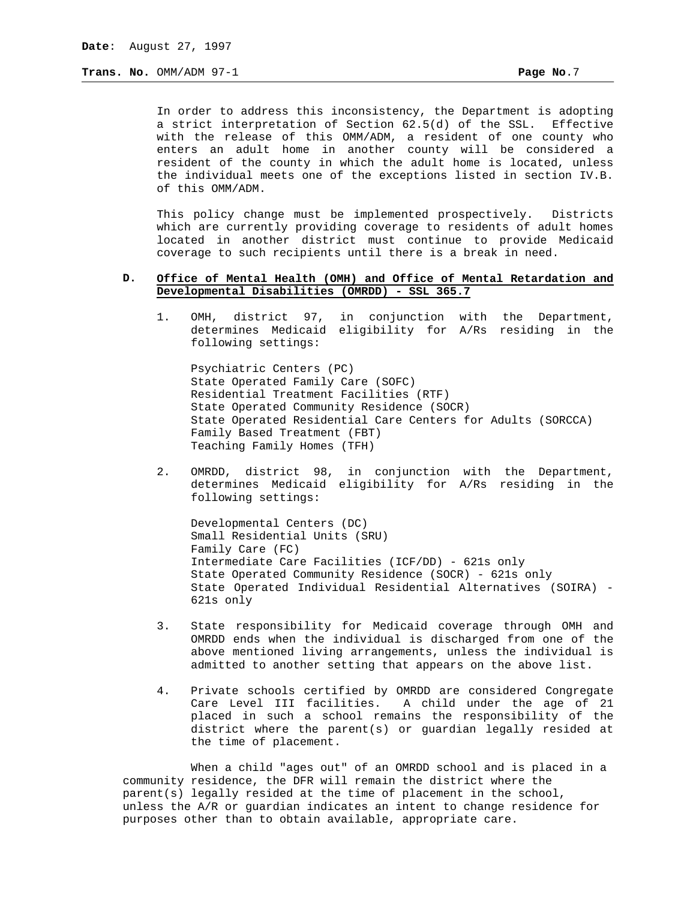In order to address this inconsistency, the Department is adopting a strict interpretation of Section 62.5(d) of the SSL. Effective with the release of this OMM/ADM, a resident of one county who enters an adult home in another county will be considered a resident of the county in which the adult home is located, unless the individual meets one of the exceptions listed in section IV.B. of this OMM/ADM.

This policy change must be implemented prospectively. Districts which are currently providing coverage to residents of adult homes located in another district must continue to provide Medicaid coverage to such recipients until there is a break in need.

## **D. Office of Mental Health (OMH) and Office of Mental Retardation and Developmental Disabilities (OMRDD) - SSL 365.7**

1. OMH, district 97, in conjunction with the Department, determines Medicaid eligibility for A/Rs residing in the following settings:

 Psychiatric Centers (PC) State Operated Family Care (SOFC) Residential Treatment Facilities (RTF) State Operated Community Residence (SOCR) State Operated Residential Care Centers for Adults (SORCCA) Family Based Treatment (FBT) Teaching Family Homes (TFH)

2. OMRDD, district 98, in conjunction with the Department, determines Medicaid eligibility for A/Rs residing in the following settings:

 Developmental Centers (DC) Small Residential Units (SRU) Family Care (FC) Intermediate Care Facilities (ICF/DD) - 621s only State Operated Community Residence (SOCR) - 621s only State Operated Individual Residential Alternatives (SOIRA) - 621s only

- 3. State responsibility for Medicaid coverage through OMH and OMRDD ends when the individual is discharged from one of the above mentioned living arrangements, unless the individual is admitted to another setting that appears on the above list.
- 4. Private schools certified by OMRDD are considered Congregate Care Level III facilities. A child under the age of 21 placed in such a school remains the responsibility of the district where the parent(s) or guardian legally resided at the time of placement.

When a child "ages out" of an OMRDD school and is placed in a community residence, the DFR will remain the district where the parent(s) legally resided at the time of placement in the school, unless the A/R or guardian indicates an intent to change residence for purposes other than to obtain available, appropriate care.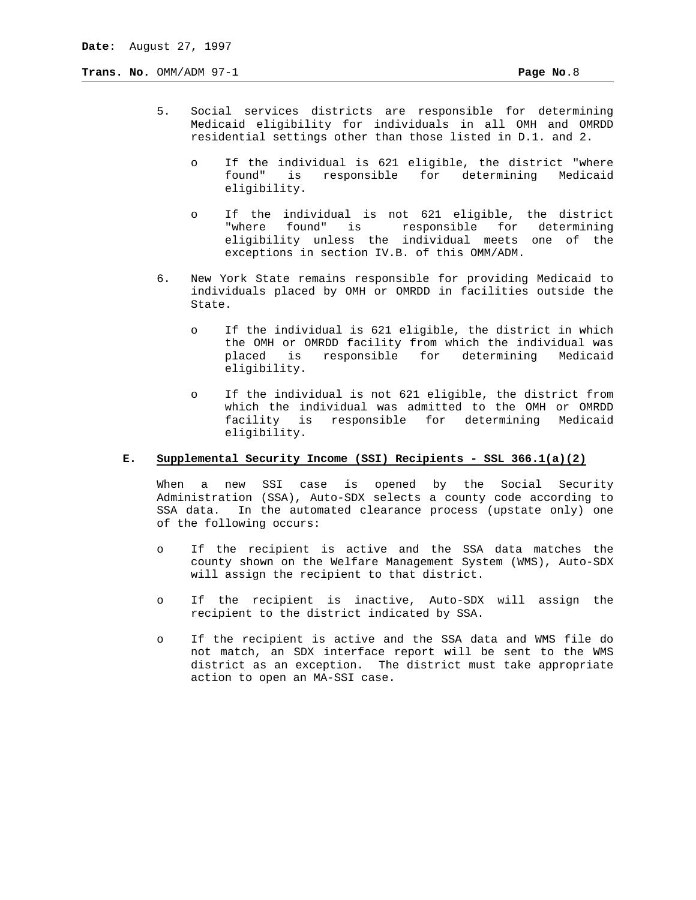- 5. Social services districts are responsible for determining Medicaid eligibility for individuals in all OMH and OMRDD residential settings other than those listed in D.1. and 2.
	- o If the individual is 621 eligible, the district "where found" is responsible for determining Medicaid eligibility.
	- o If the individual is not 621 eligible, the district "where found" is responsible for determining eligibility unless the individual meets one of the exceptions in section IV.B. of this OMM/ADM.
- 6. New York State remains responsible for providing Medicaid to individuals placed by OMH or OMRDD in facilities outside the State.
	- o If the individual is 621 eligible, the district in which the OMH or OMRDD facility from which the individual was placed is responsible for determining Medicaid eligibility.
	- o If the individual is not 621 eligible, the district from which the individual was admitted to the OMH or OMRDD facility is responsible for determining Medicaid eligibility.

#### **E. Supplemental Security Income (SSI) Recipients - SSL 366.1(a)(2)**

When a new SSI case is opened by the Social Security Administration (SSA), Auto-SDX selects a county code according to SSA data. In the automated clearance process (upstate only) one of the following occurs:

- o If the recipient is active and the SSA data matches the county shown on the Welfare Management System (WMS), Auto-SDX will assign the recipient to that district.
- o If the recipient is inactive, Auto-SDX will assign the recipient to the district indicated by SSA.
- o If the recipient is active and the SSA data and WMS file do not match, an SDX interface report will be sent to the WMS district as an exception. The district must take appropriate action to open an MA-SSI case.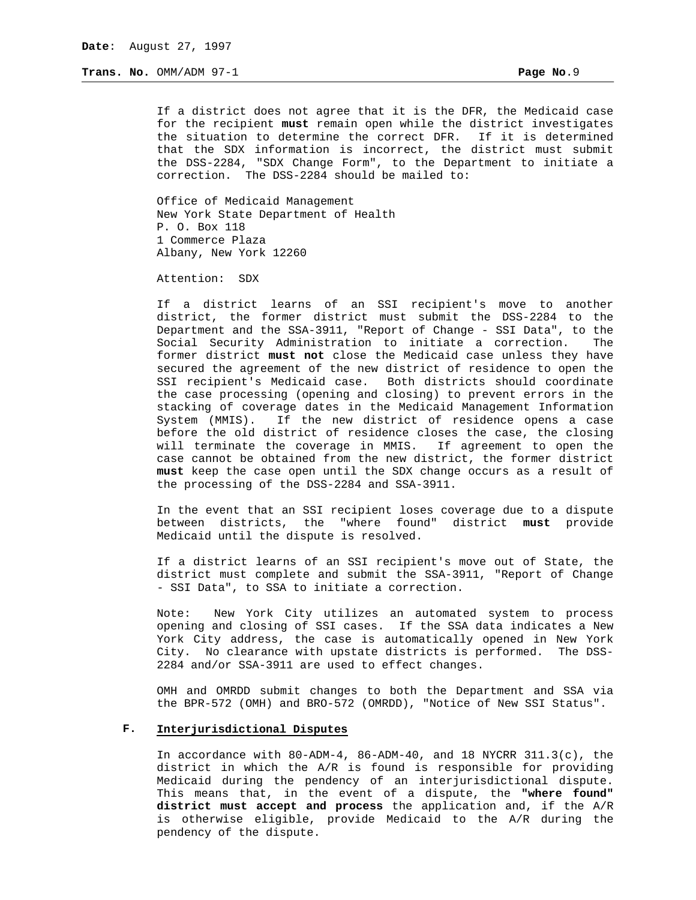If a district does not agree that it is the DFR, the Medicaid case for the recipient **must** remain open while the district investigates the situation to determine the correct DFR. If it is determined that the SDX information is incorrect, the district must submit the DSS-2284, "SDX Change Form", to the Department to initiate a correction. The DSS-2284 should be mailed to:

Office of Medicaid Management New York State Department of Health P. O. Box 118 1 Commerce Plaza Albany, New York 12260

Attention: SDX

If a district learns of an SSI recipient's move to another district, the former district must submit the DSS-2284 to the Department and the SSA-3911, "Report of Change - SSI Data", to the Social Security Administration to initiate a correction. The former district **must not** close the Medicaid case unless they have secured the agreement of the new district of residence to open the SSI recipient's Medicaid case. Both districts should coordinate the case processing (opening and closing) to prevent errors in the stacking of coverage dates in the Medicaid Management Information System (MMIS). If the new district of residence opens a case before the old district of residence closes the case, the closing will terminate the coverage in MMIS. If agreement to open the case cannot be obtained from the new district, the former district **must** keep the case open until the SDX change occurs as a result of the processing of the DSS-2284 and SSA-3911.

In the event that an SSI recipient loses coverage due to a dispute between districts, the "where found" district **must** provide Medicaid until the dispute is resolved.

If a district learns of an SSI recipient's move out of State, the district must complete and submit the SSA-3911, "Report of Change - SSI Data", to SSA to initiate a correction.

Note: New York City utilizes an automated system to process opening and closing of SSI cases. If the SSA data indicates a New York City address, the case is automatically opened in New York City. No clearance with upstate districts is performed. The DSS-2284 and/or SSA-3911 are used to effect changes.

OMH and OMRDD submit changes to both the Department and SSA via the BPR-572 (OMH) and BRO-572 (OMRDD), "Notice of New SSI Status".

## **F. Interjurisdictional Disputes**

In accordance with  $80 - ADM - 4$ ,  $86 - ADM - 40$ , and  $18$  NYCRR  $311.3(c)$ , the district in which the A/R is found is responsible for providing Medicaid during the pendency of an interjurisdictional dispute. This means that, in the event of a dispute, the **"where found" district must accept and process** the application and, if the A/R is otherwise eligible, provide Medicaid to the A/R during the pendency of the dispute.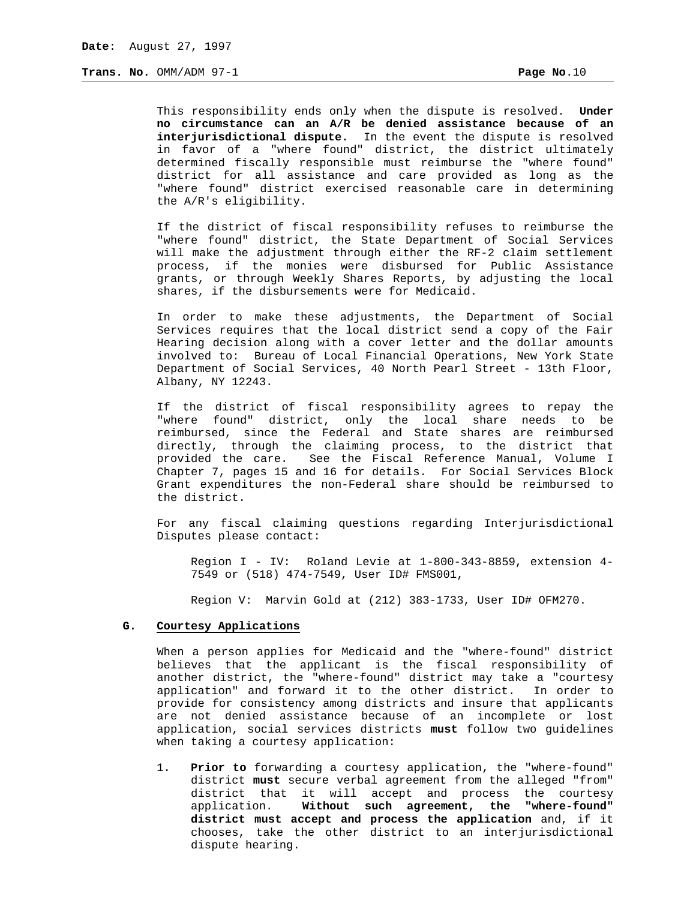This responsibility ends only when the dispute is resolved. **Under no circumstance can an A/R be denied assistance because of an interjurisdictional dispute.** In the event the dispute is resolved in favor of a "where found" district, the district ultimately determined fiscally responsible must reimburse the "where found" district for all assistance and care provided as long as the "where found" district exercised reasonable care in determining the A/R's eligibility.

If the district of fiscal responsibility refuses to reimburse the "where found" district, the State Department of Social Services will make the adjustment through either the RF-2 claim settlement process, if the monies were disbursed for Public Assistance grants, or through Weekly Shares Reports, by adjusting the local shares, if the disbursements were for Medicaid.

In order to make these adjustments, the Department of Social Services requires that the local district send a copy of the Fair Hearing decision along with a cover letter and the dollar amounts involved to: Bureau of Local Financial Operations, New York State Department of Social Services, 40 North Pearl Street - 13th Floor, Albany, NY 12243.

If the district of fiscal responsibility agrees to repay the "where found" district, only the local share needs to be reimbursed, since the Federal and State shares are reimbursed directly, through the claiming process, to the district that provided the care. See the Fiscal Reference Manual, Volume I Chapter 7, pages 15 and 16 for details. For Social Services Block Grant expenditures the non-Federal share should be reimbursed to the district.

For any fiscal claiming questions regarding Interjurisdictional Disputes please contact:

Region I - IV: Roland Levie at 1-800-343-8859, extension 4- 7549 or (518) 474-7549, User ID# FMS001,

Region V: Marvin Gold at (212) 383-1733, User ID# OFM270.

#### **G. Courtesy Applications**

When a person applies for Medicaid and the "where-found" district believes that the applicant is the fiscal responsibility of another district, the "where-found" district may take a "courtesy application" and forward it to the other district. In order to provide for consistency among districts and insure that applicants are not denied assistance because of an incomplete or lost application, social services districts **must** follow two guidelines when taking a courtesy application:

 1. **Prior to** forwarding a courtesy application, the "where-found" district **must** secure verbal agreement from the alleged "from" district that it will accept and process the courtesy application. **Without such agreement, the "where-found" district must accept and process the application** and, if it chooses, take the other district to an interjurisdictional dispute hearing.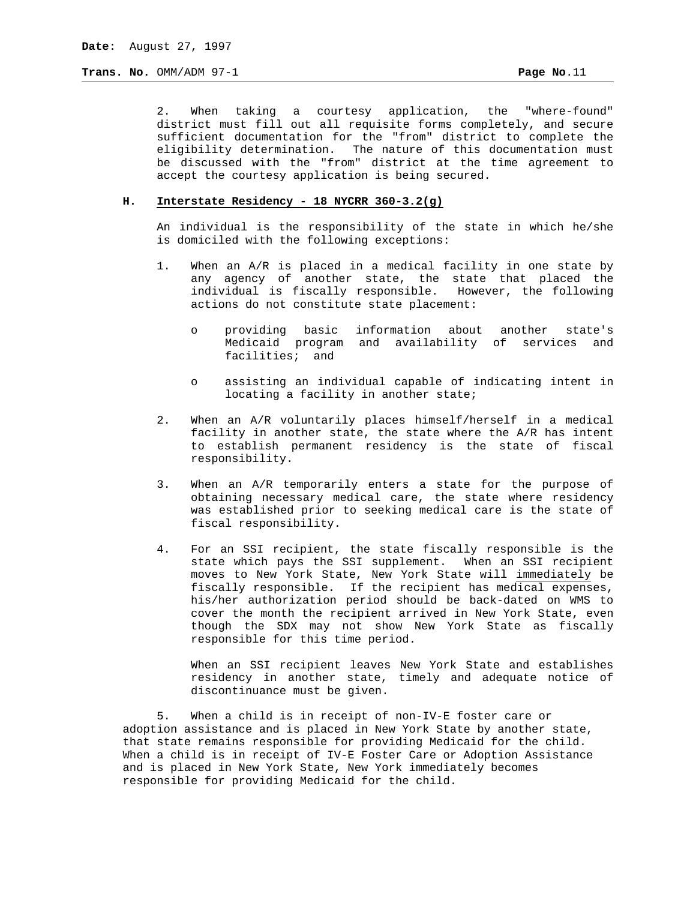**Trans. No.**  $OMM/ADM$  97-1

2. When taking a courtesy application, the "where-found" district must fill out all requisite forms completely, and secure sufficient documentation for the "from" district to complete the eligibility determination. The nature of this documentation must be discussed with the "from" district at the time agreement to accept the courtesy application is being secured.

# **H. Interstate Residency - 18 NYCRR 360-3.2(g)**

An individual is the responsibility of the state in which he/she is domiciled with the following exceptions:

- 1. When an A/R is placed in a medical facility in one state by any agency of another state, the state that placed the individual is fiscally responsible. However, the following actions do not constitute state placement:
	- o providing basic information about another state's Medicaid program and availability of services and facilities; and
	- o assisting an individual capable of indicating intent in locating a facility in another state;
- 2. When an A/R voluntarily places himself/herself in a medical facility in another state, the state where the A/R has intent to establish permanent residency is the state of fiscal responsibility.
- 3. When an A/R temporarily enters a state for the purpose of obtaining necessary medical care, the state where residency was established prior to seeking medical care is the state of fiscal responsibility.
- 4. For an SSI recipient, the state fiscally responsible is the state which pays the SSI supplement. When an SSI recipient moves to New York State, New York State will immediately be fiscally responsible. If the recipient has medical expenses, his/her authorization period should be back-dated on WMS to cover the month the recipient arrived in New York State, even though the SDX may not show New York State as fiscally responsible for this time period.

When an SSI recipient leaves New York State and establishes residency in another state, timely and adequate notice of discontinuance must be given.

5. When a child is in receipt of non-IV-E foster care or adoption assistance and is placed in New York State by another state, that state remains responsible for providing Medicaid for the child. When a child is in receipt of IV-E Foster Care or Adoption Assistance and is placed in New York State, New York immediately becomes responsible for providing Medicaid for the child.